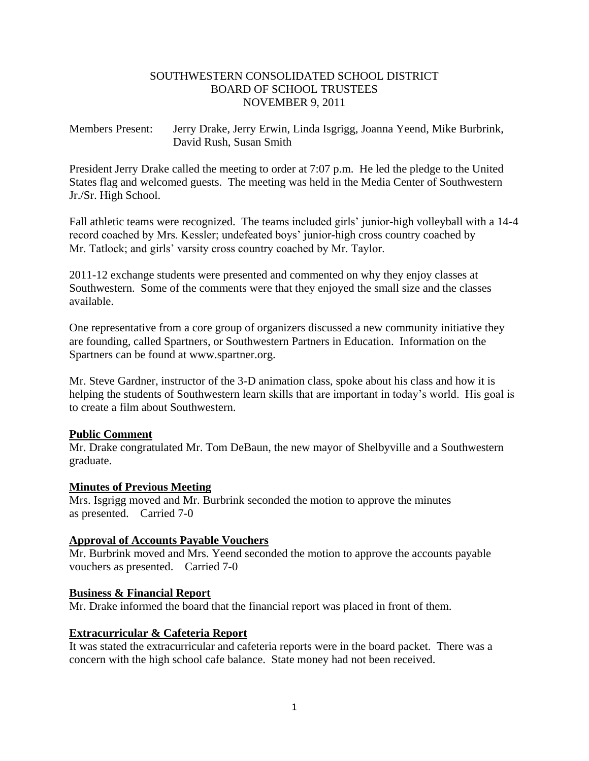## SOUTHWESTERN CONSOLIDATED SCHOOL DISTRICT BOARD OF SCHOOL TRUSTEES NOVEMBER 9, 2011

## Members Present: Jerry Drake, Jerry Erwin, Linda Isgrigg, Joanna Yeend, Mike Burbrink, David Rush, Susan Smith

President Jerry Drake called the meeting to order at 7:07 p.m. He led the pledge to the United States flag and welcomed guests. The meeting was held in the Media Center of Southwestern Jr./Sr. High School.

Fall athletic teams were recognized. The teams included girls' junior-high volleyball with a 14-4 record coached by Mrs. Kessler; undefeated boys' junior-high cross country coached by Mr. Tatlock; and girls' varsity cross country coached by Mr. Taylor.

2011-12 exchange students were presented and commented on why they enjoy classes at Southwestern. Some of the comments were that they enjoyed the small size and the classes available.

One representative from a core group of organizers discussed a new community initiative they are founding, called Spartners, or Southwestern Partners in Education. Information on the Spartners can be found at www.spartner.org.

Mr. Steve Gardner, instructor of the 3-D animation class, spoke about his class and how it is helping the students of Southwestern learn skills that are important in today's world. His goal is to create a film about Southwestern.

## **Public Comment**

Mr. Drake congratulated Mr. Tom DeBaun, the new mayor of Shelbyville and a Southwestern graduate.

## **Minutes of Previous Meeting**

Mrs. Isgrigg moved and Mr. Burbrink seconded the motion to approve the minutes as presented. Carried 7-0

## **Approval of Accounts Payable Vouchers**

Mr. Burbrink moved and Mrs. Yeend seconded the motion to approve the accounts payable vouchers as presented. Carried 7-0

#### **Business & Financial Report**

Mr. Drake informed the board that the financial report was placed in front of them.

#### **Extracurricular & Cafeteria Report**

It was stated the extracurricular and cafeteria reports were in the board packet. There was a concern with the high school cafe balance. State money had not been received.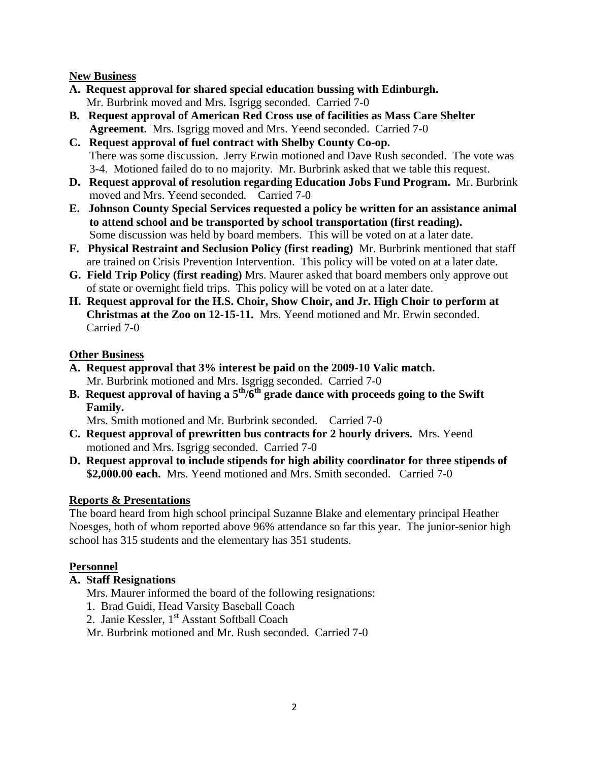## **New Business**

- **A. Request approval for shared special education bussing with Edinburgh.** Mr. Burbrink moved and Mrs. Isgrigg seconded. Carried 7-0
- **B. Request approval of American Red Cross use of facilities as Mass Care Shelter Agreement.** Mrs. Isgrigg moved and Mrs. Yeend seconded. Carried 7-0
- **C. Request approval of fuel contract with Shelby County Co-op.** There was some discussion. Jerry Erwin motioned and Dave Rush seconded. The vote was 3-4. Motioned failed do to no majority. Mr. Burbrink asked that we table this request.
- **D. Request approval of resolution regarding Education Jobs Fund Program.** Mr. Burbrink moved and Mrs. Yeend seconded. Carried 7-0
- **E. Johnson County Special Services requested a policy be written for an assistance animal to attend school and be transported by school transportation (first reading).** Some discussion was held by board members. This will be voted on at a later date.
- **F. Physical Restraint and Seclusion Policy (first reading)** Mr. Burbrink mentioned that staff are trained on Crisis Prevention Intervention. This policy will be voted on at a later date.
- **G. Field Trip Policy (first reading)** Mrs. Maurer asked that board members only approve out of state or overnight field trips. This policy will be voted on at a later date.
- **H. Request approval for the H.S. Choir, Show Choir, and Jr. High Choir to perform at Christmas at the Zoo on 12-15-11.** Mrs. Yeend motioned and Mr. Erwin seconded. Carried 7-0

## **Other Business**

- **A. Request approval that 3% interest be paid on the 2009-10 Valic match.** Mr. Burbrink motioned and Mrs. Isgrigg seconded. Carried 7-0
- **B. Request approval of having a 5th/6th grade dance with proceeds going to the Swift Family.**

Mrs. Smith motioned and Mr. Burbrink seconded. Carried 7-0

- **C. Request approval of prewritten bus contracts for 2 hourly drivers.** Mrs. Yeend motioned and Mrs. Isgrigg seconded. Carried 7-0
- **D. Request approval to include stipends for high ability coordinator for three stipends of \$2,000.00 each.** Mrs. Yeend motioned and Mrs. Smith seconded. Carried 7-0

# **Reports & Presentations**

The board heard from high school principal Suzanne Blake and elementary principal Heather Noesges, both of whom reported above 96% attendance so far this year. The junior-senior high school has 315 students and the elementary has 351 students.

# **Personnel**

# **A. Staff Resignations**

Mrs. Maurer informed the board of the following resignations:

- 1. Brad Guidi, Head Varsity Baseball Coach
- 2. Janie Kessler, 1<sup>st</sup> Asstant Softball Coach

Mr. Burbrink motioned and Mr. Rush seconded. Carried 7-0